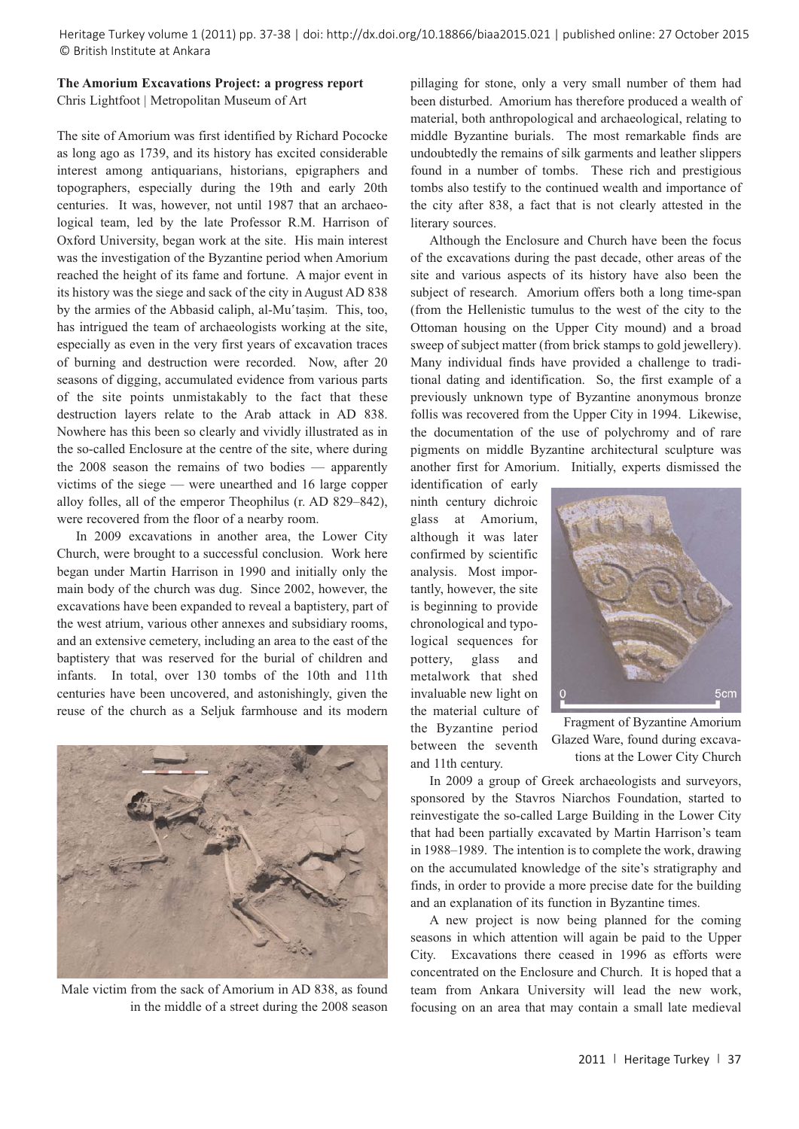Heritage Turkey volume 1 (2011) pp. 37-38 | doi: http://dx.doi.org/10.18866/biaa2015.021 | published online: 27 October 2015 © British Institute at Ankara

## **The Amorium Excavations Project: a progress report** Chris Lightfoot | Metropolitan Museum of Art

The site of Amorium was first identified by Richard Pococke as long ago as 1739, and its history has excited considerable interest among antiquarians, historians, epigraphers and topographers, especially during the 19th and early 20th centuries. It was, however, not until 1987 that an archaeological team, led by the late Professor R.M. Harrison of Oxford University, began work at the site. His main interest was the investigation of the Byzantine period when Amorium reached the height of its fame and fortune. A major event in its history was the siege and sack of the city in August AD 838 by the armies of the Abbasid caliph, al-Mu'tasim. This, too, has intrigued the team of archaeologists working at the site, especially as even in the very first years of excavation traces of burning and destruction were recorded. Now, after 20 seasons of digging, accumulated evidence from various parts of the site points unmistakably to the fact that these destruction layers relate to the Arab attack in AD 838. Nowhere has this been so clearly and vividly illustrated as in the so-called Enclosure at the centre of the site, where during the 2008 season the remains of two bodies — apparently victims of the siege — were unearthed and 16 large copper alloy folles, all of the emperor Theophilus (r. AD 829–842), were recovered from the floor of a nearby room.

In 2009 excavations in another area, the Lower City Church, were brought to a successful conclusion. Work here began under Martin Harrison in 1990 and initially only the main body of the church was dug. Since 2002, however, the excavations have been expanded to reveal a baptistery, part of the west atrium, various other annexes and subsidiary rooms, and an extensive cemetery, including an area to the east of the baptistery that was reserved for the burial of children and infants. In total, over 130 tombs of the 10th and 11th centuries have been uncovered, and astonishingly, given the reuse of the church as a Seljuk farmhouse and its modern



Male victim from the sack of Amorium in AD 838, as found in the middle of a street during the 2008 season

pillaging for stone, only a very small number of them had been disturbed. Amorium has therefore produced a wealth of material, both anthropological and archaeological, relating to middle Byzantine burials. The most remarkable finds are undoubtedly the remains of silk garments and leather slippers found in a number of tombs. These rich and prestigious tombs also testify to the continued wealth and importance of the city after 838, a fact that is not clearly attested in the literary sources.

Although the Enclosure and Church have been the focus of the excavations during the past decade, other areas of the site and various aspects of its history have also been the subject of research. Amorium offers both a long time-span (from the Hellenistic tumulus to the west of the city to the Ottoman housing on the Upper City mound) and a broad sweep of subject matter (from brick stamps to gold jewellery). Many individual finds have provided a challenge to traditional dating and identification. So, the first example of a previously unknown type of Byzantine anonymous bronze follis was recovered from the Upper City in 1994. Likewise, the documentation of the use of polychromy and of rare pigments on middle Byzantine architectural sculpture was another first for Amorium. Initially, experts dismissed the

identification of early ninth century dichroic glass at Amorium, although it was later confirmed by scientific analysis. Most importantly, however, the site is beginning to provide chronological and typological sequences for pottery, glass and metalwork that shed invaluable new light on the material culture of the Byzantine period between the seventh and 11th century.



Fragment of Byzantine Amorium Glazed Ware, found during excavations at the Lower City Church

In 2009 a group of Greek archaeologists and surveyors, sponsored by the Stavros Niarchos Foundation, started to reinvestigate the so-called Large Building in the Lower City that had been partially excavated by Martin Harrison's team in 1988–1989. The intention is to complete the work, drawing on the accumulated knowledge of the site's stratigraphy and finds, in order to provide a more precise date for the building and an explanation of its function in Byzantine times.

A new project is now being planned for the coming seasons in which attention will again be paid to the Upper City. Excavations there ceased in 1996 as efforts were concentrated on the Enclosure and Church. It is hoped that a team from Ankara University will lead the new work, focusing on an area that may contain a small late medieval